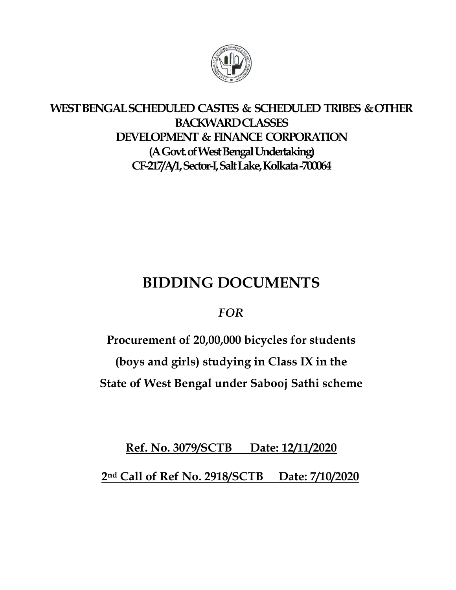

# **WEST BENGALSCHEDULED CASTES & SCHEDULED TRIBES & OTHER BACKWARD CLASSES DEVELOPMENT & FINANCE CORPORATION (A Govt. of West Bengal Undertaking) CF-217/A/1, Sector-I, Salt Lake, Kolkata -700064**

# **BIDDING DOCUMENTS**

# *FOR*

**Procurement of 20,00,000 bicycles for students** 

**(boys and girls) studying in Class IX in the** 

**State of West Bengal under Sabooj Sathi scheme**

**Ref. No. 3079/SCTB Date: 12/11/2020**

**2nd Call of Ref No. 2918/SCTB Date: 7/10/2020**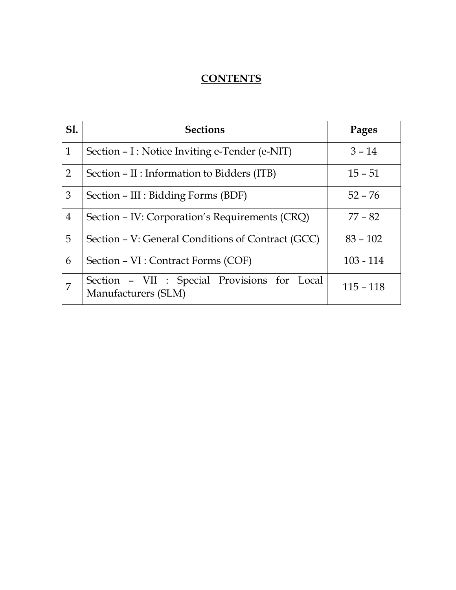# **CONTENTS**

| <b>S1.</b>     | <b>Sections</b>                                                     | Pages       |
|----------------|---------------------------------------------------------------------|-------------|
| $\mathbf{1}$   | Section - I : Notice Inviting e-Tender (e-NIT)                      | $3 - 14$    |
| $\overline{2}$ | Section – II : Information to Bidders (ITB)                         | $15 - 51$   |
| 3              | Section – III : Bidding Forms (BDF)                                 | $52 - 76$   |
| 4              | Section - IV: Corporation's Requirements (CRQ)                      | $77 - 82$   |
| 5              | Section – V: General Conditions of Contract (GCC)                   | $83 - 102$  |
| 6              | Section – VI : Contract Forms (COF)                                 | $103 - 114$ |
| $\overline{7}$ | Section - VII : Special Provisions for Local<br>Manufacturers (SLM) | $115 - 118$ |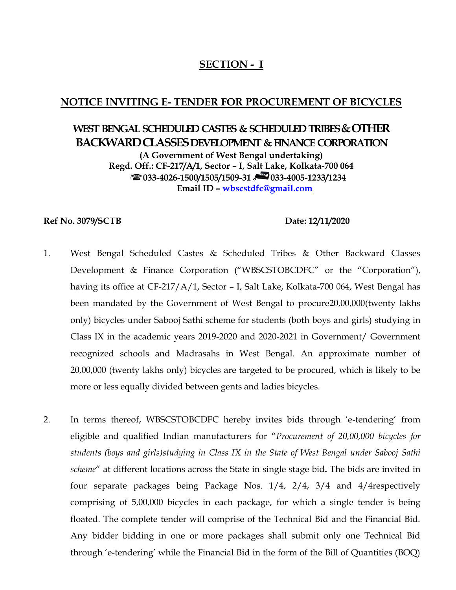## **SECTION - I**

## **NOTICE INVITING E- TENDER FOR PROCUREMENT OF BICYCLES**

# **WEST BENGAL SCHEDULED CASTES & SCHEDULED TRIBES & OTHER BACKWARD CLASSES DEVELOPMENT & FINANCE CORPORATION (A Government of West Bengal undertaking) Regd. Off.: CF-217/A/1, Sector – I, Salt Lake, Kolkata-700 064 033-4026-1500/1505/1509-31 033-4005-1233/1234 Email ID – [wbscstdfc@gmail.com](mailto:wbscstdfc@gmail.com)**

#### **Ref No. 3079/SCTB Date: 12/11/2020**

- 1. West Bengal Scheduled Castes & Scheduled Tribes & Other Backward Classes Development & Finance Corporation ("WBSCSTOBCDFC" or the "Corporation"), having its office at CF-217/A/1, Sector - I, Salt Lake, Kolkata-700 064, West Bengal has been mandated by the Government of West Bengal to procure20,00,000(twenty lakhs only) bicycles under Sabooj Sathi scheme for students (both boys and girls) studying in Class IX in the academic years 2019-2020 and 2020-2021 in Government/ Government recognized schools and Madrasahs in West Bengal. An approximate number of 20,00,000 (twenty lakhs only) bicycles are targeted to be procured, which is likely to be more or less equally divided between gents and ladies bicycles.
- 2. In terms thereof, WBSCSTOBCDFC hereby invites bids through 'e-tendering' from eligible and qualified Indian manufacturers for "*Procurement of 20,00,000 bicycles for students (boys and girls)studying in Class IX in the State of West Bengal under Sabooj Sathi scheme*" at different locations across the State in single stage bid**.** The bids are invited in four separate packages being Package Nos. 1/4, 2/4, 3/4 and 4/4respectively comprising of 5,00,000 bicycles in each package, for which a single tender is being floated. The complete tender will comprise of the Technical Bid and the Financial Bid. Any bidder bidding in one or more packages shall submit only one Technical Bid through 'e-tendering' while the Financial Bid in the form of the Bill of Quantities (BOQ)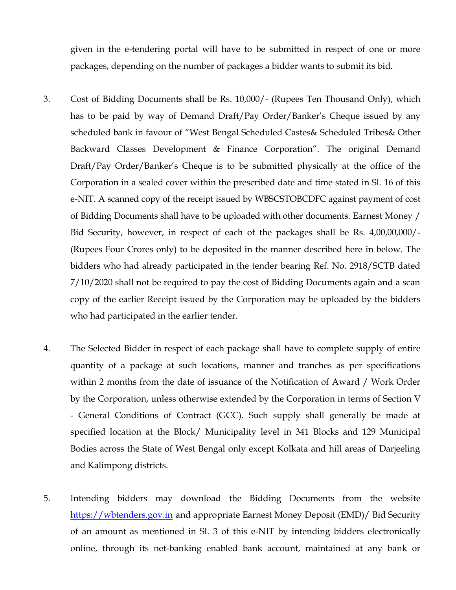given in the e-tendering portal will have to be submitted in respect of one or more packages, depending on the number of packages a bidder wants to submit its bid.

- 3. Cost of Bidding Documents shall be Rs. 10,000/- (Rupees Ten Thousand Only), which has to be paid by way of Demand Draft/Pay Order/Banker's Cheque issued by any scheduled bank in favour of "West Bengal Scheduled Castes& Scheduled Tribes& Other Backward Classes Development & Finance Corporation". The original Demand Draft/Pay Order/Banker's Cheque is to be submitted physically at the office of the Corporation in a sealed cover within the prescribed date and time stated in Sl. 16 of this e-NIT. A scanned copy of the receipt issued by WBSCSTOBCDFC against payment of cost of Bidding Documents shall have to be uploaded with other documents. Earnest Money / Bid Security, however, in respect of each of the packages shall be Rs. 4,00,00,000/- (Rupees Four Crores only) to be deposited in the manner described here in below. The bidders who had already participated in the tender bearing Ref. No. 2918/SCTB dated 7/10/2020 shall not be required to pay the cost of Bidding Documents again and a scan copy of the earlier Receipt issued by the Corporation may be uploaded by the bidders who had participated in the earlier tender.
- 4. The Selected Bidder in respect of each package shall have to complete supply of entire quantity of a package at such locations, manner and tranches as per specifications within 2 months from the date of issuance of the Notification of Award / Work Order by the Corporation, unless otherwise extended by the Corporation in terms of Section V - General Conditions of Contract (GCC). Such supply shall generally be made at specified location at the Block/ Municipality level in 341 Blocks and 129 Municipal Bodies across the State of West Bengal only except Kolkata and hill areas of Darjeeling and Kalimpong districts.
- 5. Intending bidders may download the Bidding Documents from the website [https://wbtenders.gov.in](https://wbtenders.gov.in/) and appropriate Earnest Money Deposit (EMD)/ Bid Security of an amount as mentioned in Sl. 3 of this e-NIT by intending bidders electronically online, through its net-banking enabled bank account, maintained at any bank or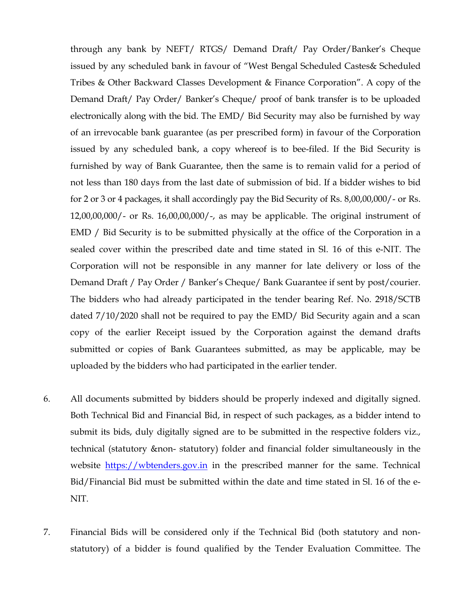through any bank by NEFT/ RTGS/ Demand Draft/ Pay Order/Banker's Cheque issued by any scheduled bank in favour of "West Bengal Scheduled Castes& Scheduled Tribes & Other Backward Classes Development & Finance Corporation". A copy of the Demand Draft/ Pay Order/ Banker's Cheque/ proof of bank transfer is to be uploaded electronically along with the bid. The EMD/ Bid Security may also be furnished by way of an irrevocable bank guarantee (as per prescribed form) in favour of the Corporation issued by any scheduled bank, a copy whereof is to bee-filed. If the Bid Security is furnished by way of Bank Guarantee, then the same is to remain valid for a period of not less than 180 days from the last date of submission of bid. If a bidder wishes to bid for 2 or 3 or 4 packages, it shall accordingly pay the Bid Security of Rs. 8,00,00,000/- or Rs. 12,00,00,000/- or Rs. 16,00,00,000/-, as may be applicable. The original instrument of EMD / Bid Security is to be submitted physically at the office of the Corporation in a sealed cover within the prescribed date and time stated in Sl. 16 of this e-NIT. The Corporation will not be responsible in any manner for late delivery or loss of the Demand Draft / Pay Order / Banker's Cheque/ Bank Guarantee if sent by post/courier. The bidders who had already participated in the tender bearing Ref. No. 2918/SCTB dated 7/10/2020 shall not be required to pay the EMD/ Bid Security again and a scan copy of the earlier Receipt issued by the Corporation against the demand drafts submitted or copies of Bank Guarantees submitted, as may be applicable, may be uploaded by the bidders who had participated in the earlier tender.

- 6. All documents submitted by bidders should be properly indexed and digitally signed. Both Technical Bid and Financial Bid, in respect of such packages, as a bidder intend to submit its bids, duly digitally signed are to be submitted in the respective folders viz., technical (statutory &non- statutory) folder and financial folder simultaneously in the website [https://wbtenders.gov.in](https://wbtenders.gov.in/) in the prescribed manner for the same. Technical Bid/Financial Bid must be submitted within the date and time stated in Sl. 16 of the e-NIT.
- 7. Financial Bids will be considered only if the Technical Bid (both statutory and nonstatutory) of a bidder is found qualified by the Tender Evaluation Committee. The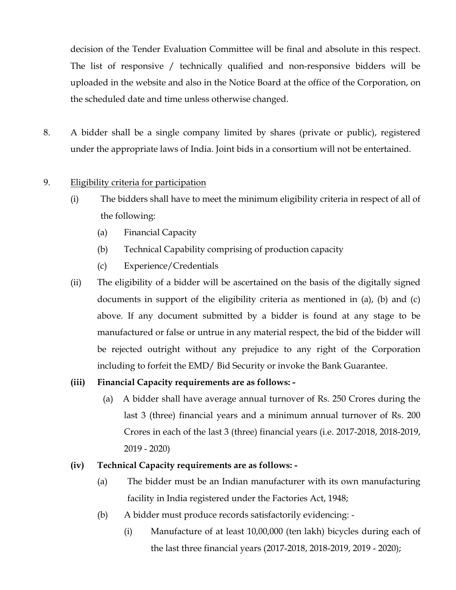decision of the Tender Evaluation Committee will be final and absolute in this respect. The list of responsive / technically qualified and non-responsive bidders will be uploaded in the website and also in the Notice Board at the office of the Corporation, on the scheduled date and time unless otherwise changed.

8. A bidder shall be a single company limited by shares (private or public), registered under the appropriate laws of India. Joint bids in a consortium will not be entertained.

## 9. Eligibility criteria for participation

- (i) The bidders shall have to meet the minimum eligibility criteria in respect of all of the following:
	- (a) Financial Capacity
	- (b) Technical Capability comprising of production capacity
	- (c) Experience/Credentials
- (ii) The eligibility of a bidder will be ascertained on the basis of the digitally signed documents in support of the eligibility criteria as mentioned in (a), (b) and (c) above. If any document submitted by a bidder is found at any stage to be manufactured or false or untrue in any material respect, the bid of the bidder will be rejected outright without any prejudice to any right of the Corporation including to forfeit the EMD/ Bid Security or invoke the Bank Guarantee.

### **(iii) Financial Capacity requirements are as follows: -**

(a) A bidder shall have average annual turnover of Rs. 250 Crores during the last 3 (three) financial years and a minimum annual turnover of Rs. 200 Crores in each of the last 3 (three) financial years (i.e. 2017-2018, 2018-2019, 2019 - 2020)

### **(iv) Technical Capacity requirements are as follows: -**

- (a) The bidder must be an Indian manufacturer with its own manufacturing facility in India registered under the Factories Act, 1948;
- (b) A bidder must produce records satisfactorily evidencing:
	- (i) Manufacture of at least 10,00,000 (ten lakh) bicycles during each of the last three financial years (2017-2018, 2018-2019, 2019 - 2020);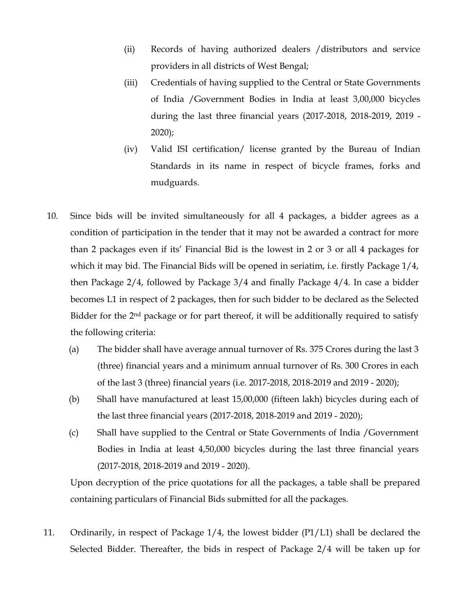- (ii) Records of having authorized dealers /distributors and service providers in all districts of West Bengal;
- (iii) Credentials of having supplied to the Central or State Governments of India /Government Bodies in India at least 3,00,000 bicycles during the last three financial years (2017-2018, 2018-2019, 2019 - 2020);
- (iv) Valid ISI certification/ license granted by the Bureau of Indian Standards in its name in respect of bicycle frames, forks and mudguards.
- 10. Since bids will be invited simultaneously for all 4 packages, a bidder agrees as a condition of participation in the tender that it may not be awarded a contract for more than 2 packages even if its' Financial Bid is the lowest in 2 or 3 or all 4 packages for which it may bid. The Financial Bids will be opened in seriatim, i.e. firstly Package 1/4, then Package 2/4, followed by Package 3/4 and finally Package 4/4. In case a bidder becomes L1 in respect of 2 packages, then for such bidder to be declared as the Selected Bidder for the  $2<sup>nd</sup>$  package or for part thereof, it will be additionally required to satisfy the following criteria:
	- (a) The bidder shall have average annual turnover of Rs. 375 Crores during the last 3 (three) financial years and a minimum annual turnover of Rs. 300 Crores in each of the last 3 (three) financial years (i.e. 2017-2018, 2018-2019 and 2019 - 2020);
	- (b) Shall have manufactured at least 15,00,000 (fifteen lakh) bicycles during each of the last three financial years (2017-2018, 2018-2019 and 2019 - 2020);
	- (c) Shall have supplied to the Central or State Governments of India /Government Bodies in India at least 4,50,000 bicycles during the last three financial years (2017-2018, 2018-2019 and 2019 - 2020).

Upon decryption of the price quotations for all the packages, a table shall be prepared containing particulars of Financial Bids submitted for all the packages.

11. Ordinarily, in respect of Package 1/4, the lowest bidder (P1/L1) shall be declared the Selected Bidder. Thereafter, the bids in respect of Package 2/4 will be taken up for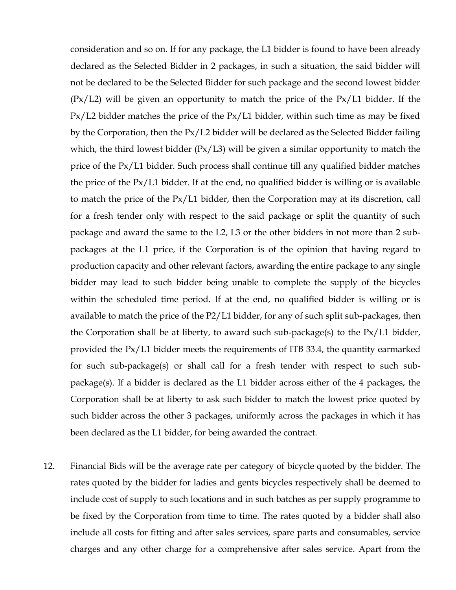consideration and so on. If for any package, the L1 bidder is found to have been already declared as the Selected Bidder in 2 packages, in such a situation, the said bidder will not be declared to be the Selected Bidder for such package and the second lowest bidder  $(Px/L2)$  will be given an opportunity to match the price of the  $Px/L1$  bidder. If the Px/L2 bidder matches the price of the Px/L1 bidder, within such time as may be fixed by the Corporation, then the Px/L2 bidder will be declared as the Selected Bidder failing which, the third lowest bidder (Px/L3) will be given a similar opportunity to match the price of the Px/L1 bidder. Such process shall continue till any qualified bidder matches the price of the Px/L1 bidder. If at the end, no qualified bidder is willing or is available to match the price of the Px/L1 bidder, then the Corporation may at its discretion, call for a fresh tender only with respect to the said package or split the quantity of such package and award the same to the L2, L3 or the other bidders in not more than 2 subpackages at the L1 price, if the Corporation is of the opinion that having regard to production capacity and other relevant factors, awarding the entire package to any single bidder may lead to such bidder being unable to complete the supply of the bicycles within the scheduled time period. If at the end, no qualified bidder is willing or is available to match the price of the P2/L1 bidder, for any of such split sub-packages, then the Corporation shall be at liberty, to award such sub-package(s) to the Px/L1 bidder, provided the Px/L1 bidder meets the requirements of ITB 33.4, the quantity earmarked for such sub-package(s) or shall call for a fresh tender with respect to such subpackage(s). If a bidder is declared as the L1 bidder across either of the 4 packages, the Corporation shall be at liberty to ask such bidder to match the lowest price quoted by such bidder across the other 3 packages, uniformly across the packages in which it has been declared as the L1 bidder, for being awarded the contract.

12. Financial Bids will be the average rate per category of bicycle quoted by the bidder. The rates quoted by the bidder for ladies and gents bicycles respectively shall be deemed to include cost of supply to such locations and in such batches as per supply programme to be fixed by the Corporation from time to time. The rates quoted by a bidder shall also include all costs for fitting and after sales services, spare parts and consumables, service charges and any other charge for a comprehensive after sales service. Apart from the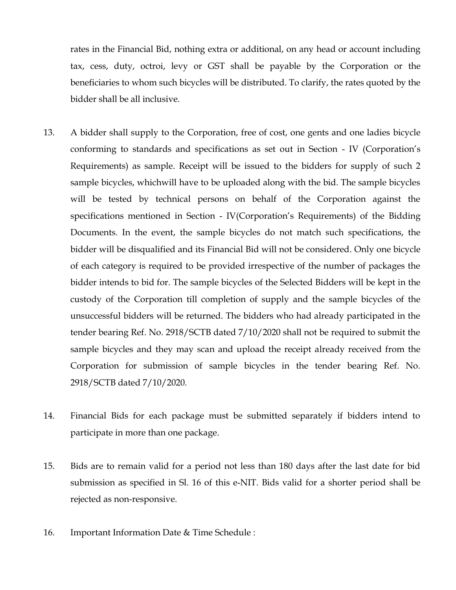rates in the Financial Bid, nothing extra or additional, on any head or account including tax, cess, duty, octroi, levy or GST shall be payable by the Corporation or the beneficiaries to whom such bicycles will be distributed. To clarify, the rates quoted by the bidder shall be all inclusive.

- 13. A bidder shall supply to the Corporation, free of cost, one gents and one ladies bicycle conforming to standards and specifications as set out in Section - IV (Corporation's Requirements) as sample. Receipt will be issued to the bidders for supply of such 2 sample bicycles, whichwill have to be uploaded along with the bid. The sample bicycles will be tested by technical persons on behalf of the Corporation against the specifications mentioned in Section - IV(Corporation's Requirements) of the Bidding Documents. In the event, the sample bicycles do not match such specifications, the bidder will be disqualified and its Financial Bid will not be considered. Only one bicycle of each category is required to be provided irrespective of the number of packages the bidder intends to bid for. The sample bicycles of the Selected Bidders will be kept in the custody of the Corporation till completion of supply and the sample bicycles of the unsuccessful bidders will be returned. The bidders who had already participated in the tender bearing Ref. No. 2918/SCTB dated 7/10/2020 shall not be required to submit the sample bicycles and they may scan and upload the receipt already received from the Corporation for submission of sample bicycles in the tender bearing Ref. No. 2918/SCTB dated 7/10/2020.
- 14. Financial Bids for each package must be submitted separately if bidders intend to participate in more than one package.
- 15. Bids are to remain valid for a period not less than 180 days after the last date for bid submission as specified in Sl. 16 of this e-NIT. Bids valid for a shorter period shall be rejected as non-responsive.
- 16. Important Information Date & Time Schedule :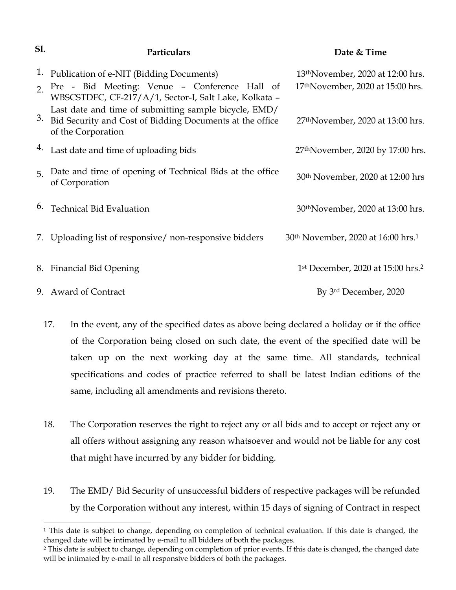| S1. | Particulars                                                                                                                             | Date & Time                                                |
|-----|-----------------------------------------------------------------------------------------------------------------------------------------|------------------------------------------------------------|
| 1.  | Publication of e-NIT (Bidding Documents)                                                                                                | 13 <sup>th</sup> November, 2020 at 12:00 hrs.              |
|     | 2 Pre - Bid Meeting: Venue - Conference Hall of<br>WBSCSTDFC, CF-217/A/1, Sector-I, Salt Lake, Kolkata -                                | 17 <sup>th</sup> November, 2020 at 15:00 hrs.              |
| 3.  | Last date and time of submitting sample bicycle, EMD/<br>Bid Security and Cost of Bidding Documents at the office<br>of the Corporation | 27 <sup>th</sup> November, 2020 at 13:00 hrs.              |
|     | <sup>4.</sup> Last date and time of uploading bids                                                                                      | 27 <sup>th</sup> November, 2020 by 17:00 hrs.              |
| 5   | Date and time of opening of Technical Bids at the office<br>of Corporation                                                              | 30 <sup>th</sup> November, 2020 at 12:00 hrs               |
| 6.  | <b>Technical Bid Evaluation</b>                                                                                                         | 30 <sup>th</sup> November, 2020 at 13:00 hrs.              |
|     | 7. Uploading list of responsive/non-responsive bidders                                                                                  | 30 <sup>th</sup> November, 2020 at 16:00 hrs. <sup>1</sup> |
|     | 8. Financial Bid Opening                                                                                                                | 1 <sup>st</sup> December, 2020 at 15:00 hrs. <sup>2</sup>  |
|     | 9. Award of Contract                                                                                                                    | By 3rd December, 2020                                      |

- 17. In the event, any of the specified dates as above being declared a holiday or if the office of the Corporation being closed on such date, the event of the specified date will be taken up on the next working day at the same time. All standards, technical specifications and codes of practice referred to shall be latest Indian editions of the same, including all amendments and revisions thereto.
- 18. The Corporation reserves the right to reject any or all bids and to accept or reject any or all offers without assigning any reason whatsoever and would not be liable for any cost that might have incurred by any bidder for bidding.
- 19. The EMD/ Bid Security of unsuccessful bidders of respective packages will be refunded by the Corporation without any interest, within 15 days of signing of Contract in respect

<sup>&</sup>lt;sup>1</sup> This date is subject to change, depending on completion of technical evaluation. If this date is changed, the changed date will be intimated by e-mail to all bidders of both the packages.

<sup>2</sup> This date is subject to change, depending on completion of prior events. If this date is changed, the changed date will be intimated by e-mail to all responsive bidders of both the packages.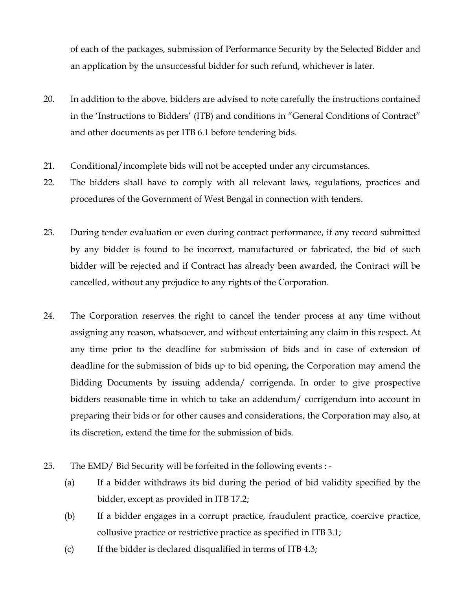of each of the packages, submission of Performance Security by the Selected Bidder and an application by the unsuccessful bidder for such refund, whichever is later.

- 20. In addition to the above, bidders are advised to note carefully the instructions contained in the 'Instructions to Bidders' (ITB) and conditions in "General Conditions of Contract" and other documents as per ITB 6.1 before tendering bids.
- 21. Conditional/incomplete bids will not be accepted under any circumstances.
- 22. The bidders shall have to comply with all relevant laws, regulations, practices and procedures of the Government of West Bengal in connection with tenders.
- 23. During tender evaluation or even during contract performance, if any record submitted by any bidder is found to be incorrect, manufactured or fabricated, the bid of such bidder will be rejected and if Contract has already been awarded, the Contract will be cancelled, without any prejudice to any rights of the Corporation.
- 24. The Corporation reserves the right to cancel the tender process at any time without assigning any reason, whatsoever, and without entertaining any claim in this respect. At any time prior to the deadline for submission of bids and in case of extension of deadline for the submission of bids up to bid opening, the Corporation may amend the Bidding Documents by issuing addenda/ corrigenda. In order to give prospective bidders reasonable time in which to take an addendum/ corrigendum into account in preparing their bids or for other causes and considerations, the Corporation may also, at its discretion, extend the time for the submission of bids.
- 25. The EMD/ Bid Security will be forfeited in the following events :
	- (a) If a bidder withdraws its bid during the period of bid validity specified by the bidder, except as provided in ITB 17.2;
	- (b) If a bidder engages in a corrupt practice, fraudulent practice, coercive practice, collusive practice or restrictive practice as specified in ITB 3.1;
	- (c) If the bidder is declared disqualified in terms of ITB 4.3;